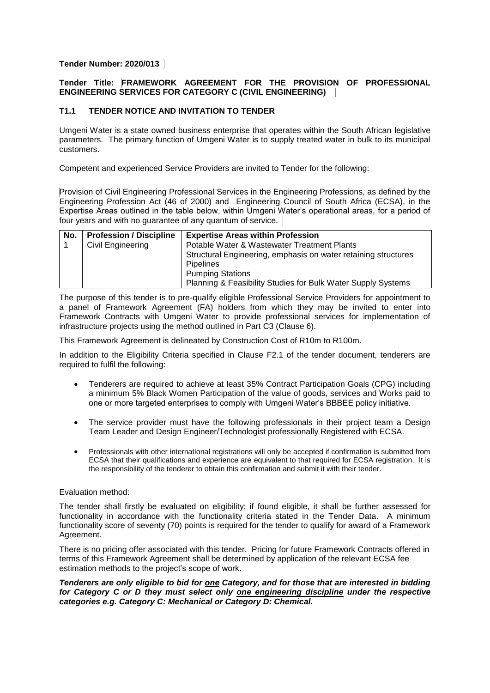# **Tender Number: 2020/013**

## **Tender Title: FRAMEWORK AGREEMENT FOR THE PROVISION OF PROFESSIONAL ENGINEERING SERVICES FOR CATEGORY C (CIVIL ENGINEERING)**

# **T1.1 TENDER NOTICE AND INVITATION TO TENDER**

Umgeni Water is a state owned business enterprise that operates within the South African legislative parameters. The primary function of Umgeni Water is to supply treated water in bulk to its municipal customers.

Competent and experienced Service Providers are invited to Tender for the following:

Provision of Civil Engineering Professional Services in the Engineering Professions, as defined by the Engineering Profession Act (46 of 2000) and Engineering Council of South Africa (ECSA), in the Expertise Areas outlined in the table below, within Umgeni Water's operational areas, for a period of four years and with no guarantee of any quantum of service.

| No. | <b>Profession / Discipline</b> | <b>Expertise Areas within Profession</b>                       |
|-----|--------------------------------|----------------------------------------------------------------|
|     | <b>Civil Engineering</b>       | Potable Water & Wastewater Treatment Plants                    |
|     |                                | Structural Engineering, emphasis on water retaining structures |
|     |                                | <b>Pipelines</b>                                               |
|     |                                | <b>Pumping Stations</b>                                        |
|     |                                | Planning & Feasibility Studies for Bulk Water Supply Systems   |

The purpose of this tender is to pre-qualify eligible Professional Service Providers for appointment to a panel of Framework Agreement (FA) holders from which they may be invited to enter into Framework Contracts with Umgeni Water to provide professional services for implementation of infrastructure projects using the method outlined in Part C3 (Clause 6).

This Framework Agreement is delineated by Construction Cost of R10m to R100m.

In addition to the Eligibility Criteria specified in Clause F2.1 of the tender document, tenderers are required to fulfil the following:

- Tenderers are required to achieve at least 35% Contract Participation Goals (CPG) including a minimum 5% Black Women Participation of the value of goods, services and Works paid to one or more targeted enterprises to comply with Umgeni Water's BBBEE policy initiative.
- The service provider must have the following professionals in their project team a Design Team Leader and Design Engineer/Technologist professionally Registered with ECSA.
- Professionals with other international registrations will only be accepted if confirmation is submitted from ECSA that their qualifications and experience are equivalent to that required for ECSA registration. It is the responsibility of the tenderer to obtain this confirmation and submit it with their tender.

### Evaluation method:

The tender shall firstly be evaluated on eligibility; if found eligible, it shall be further assessed for functionality in accordance with the functionality criteria stated in the Tender Data. A minimum functionality score of seventy (70) points is required for the tender to qualify for award of a Framework Agreement.

There is no pricing offer associated with this tender. Pricing for future Framework Contracts offered in terms of this Framework Agreement shall be determined by application of the relevant ECSA fee estimation methods to the project's scope of work.

### *Tenderers are only eligible to bid for one Category, and for those that are interested in bidding for Category C or D they must select only one engineering discipline under the respective categories e.g. Category C: Mechanical or Category D: Chemical.*